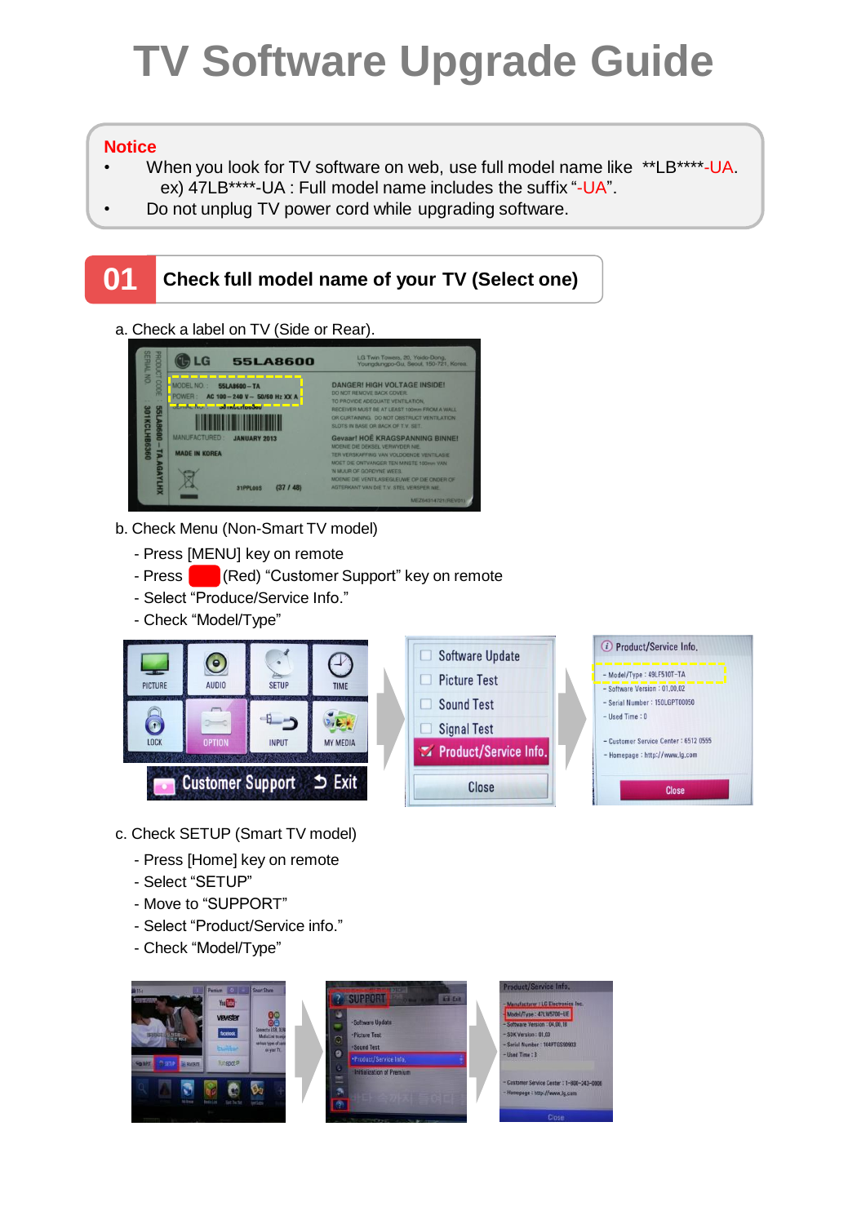## **TV Software Upgrade Guide**

## **Notice**

- When you look for TV software on web, use full model name like \*\*LB\*\*\*\*-UA. ex) 47LB\*\*\*\*-UA : Full model name includes the suffix "-UA".
- Do not unplug TV power cord while upgrading software.

## **01 Check full model name of your TV (Select one)** a. Check a label on TV (Side or Rear).**C**LG 55LA8600 LG Twin Towers, 20, Yoido-Dong,<br>Youngdungpo-Gu, Seoul, 150-721, MODEL NO.: 55LA8600-TA DANGER! HIGH VOLTAGE INSIDE! ER: AC 100 - 240 V - 50/60 Hz XX A OVIDE ADEQUATE VENTILATION,<br>VER MUST BE AT LEAST 100mm FROM A W<br>RTAINING. DO NOT OBSTRUCT VENTILAT <u> Timber and the second second</u> TS IN BASE OR BACK OF T.V. SET vaar! HOË KRAGSPANNING BINNE JANUARY 2013 ⊠ 31PPL00S (37 / 48)

- b. Check Menu (Non-Smart TV model)
	- Press [MENU] key on remote
	- Press **Company** (Red) "Customer Support" key on remote
	- Select "Produce/Service Info."
	- Check "Model/Type"



- c. Check SETUP (Smart TV model)
	- Press [Home] key on remote
	- Select "SETUP"
	- Move to "SUPPORT"
	- Select "Product/Service info."
	- Check "Model/Type"

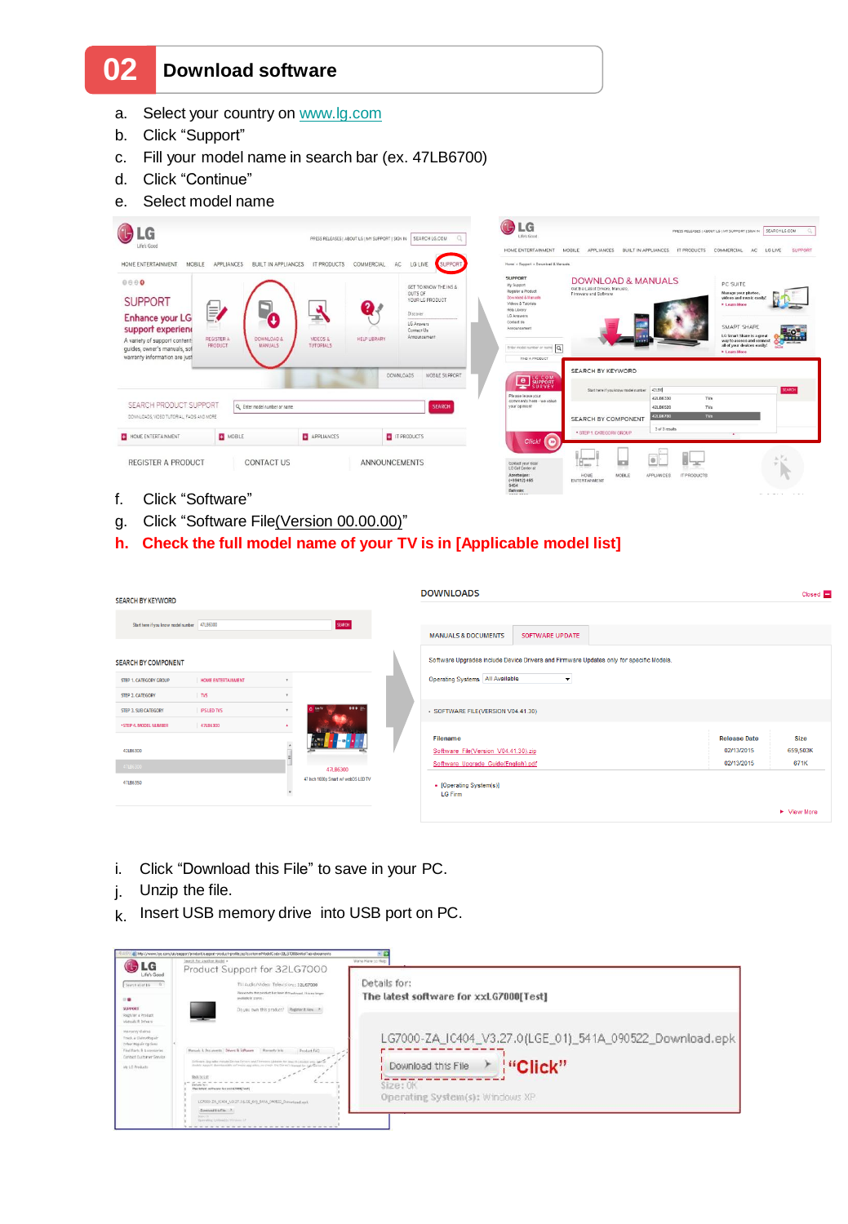## **02 Download software**

- a. Select your country on [www.lg.com](http://www.lg.com/)
- b. Click "Support"
- c. Fill your model name in search bar (ex. 47LB6700)
- d. Click "Continue"
- e. Select model name



- f. Click "Software"
- g. Click "Software File(Version 00.00.00)"
- **h. Check the full model name of your TV is in [Applicable model list]**

| <b>SEARCH BY KEYWORD</b>                     |                           |  |                                     |  | <b>DOWNLOADS</b>                                                                        |                 |  |                     | Closed <b>D</b> |
|----------------------------------------------|---------------------------|--|-------------------------------------|--|-----------------------------------------------------------------------------------------|-----------------|--|---------------------|-----------------|
| Start here if you know model number 47LB6300 |                           |  | SEARCH                              |  | <b>MANUALS &amp; DOCUMENTS</b>                                                          | SOFTWARE UPDATE |  |                     |                 |
| <b>SEARCH BY COMPONENT</b>                   |                           |  |                                     |  | Software Upgrades include Device Drivers and Firmware Updates only for specific Models. |                 |  |                     |                 |
| STEP 1. CATEGORY GROUP                       | <b>HOME ENTERTAINMENT</b> |  |                                     |  | Operating Systems   All Available<br>$\cdot$                                            |                 |  |                     |                 |
| STEP 2. CATEGORY                             | $\n  TVS\n$               |  |                                     |  |                                                                                         |                 |  |                     |                 |
| STEP 3. SUB CATEGORY                         | <b>IPS LED TVS</b>        |  | 0000                                |  | - SOFTWARE FILE(VERSION V04.41.30)                                                      |                 |  |                     |                 |
| * STEP 4. MODEL NUMBER                       | 47LB6300                  |  |                                     |  |                                                                                         |                 |  |                     |                 |
|                                              |                           |  |                                     |  | <b>Filename</b>                                                                         |                 |  | <b>Release Date</b> | <b>Size</b>     |
| 42LB6300                                     |                           |  |                                     |  | Software File(Version V04.41.30).zip                                                    |                 |  | 02/13/2015          | 659,503K        |
| 47LB6300                                     |                           |  | 47LB6300                            |  | Software Upgrade Guide(English).pdf                                                     |                 |  | 02/13/2015          | 671K            |
| 47LB6350                                     |                           |  | 47 Inch 1080p Smart w/ webOS LED TV |  | • [Operating System(s)]<br><b>LG Firm</b>                                               |                 |  |                     |                 |
|                                              |                           |  |                                     |  |                                                                                         |                 |  |                     | ▶ View More     |

- i. Click "Download this File" to save in your PC.
- j. Unzip the file.
- k. Insert USB memory drive into USB port on PC.